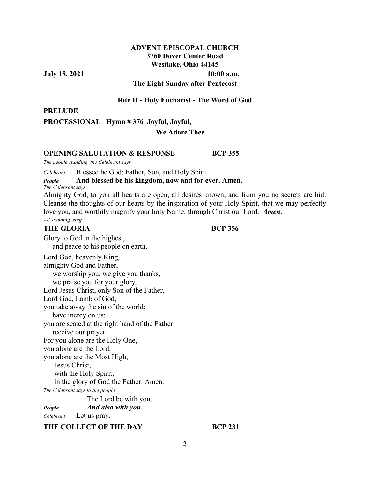# **ADVENT EPISCOPAL CHURCH 3760 Dover Center Road Westlake, Ohio 44145**

**July 18, 2021** 10:00 a.m.

#### **The Eight Sunday after Pentecost**

#### **Rite II - Holy Eucharist - The Word of God**

**PRELUDE**

**PROCESSIONAL Hymn # 376 Joyful, Joyful,** 

# **We Adore Thee**

#### **OPENING SALUTATION & RESPONSE BCP 355**

*The people standing, the Celebrant says* 

*Celebrant* Blessed be God: Father, Son, and Holy Spirit.

### *People* **And blessed be his kingdom, now and for ever. Amen.**

*The Celebrant says*:

Almighty God, to you all hearts are open, all desires known, and from you no secrets are hid: Cleanse the thoughts of our hearts by the inspiration of your Holy Spirit, that we may perfectly love you, and worthily magnify your holy Name; through Christ our Lord. *Amen*. *All standing, sing*

#### **THE GLORIA BCP 356**

Glory to God in the highest, and peace to his people on earth. Lord God, heavenly King, almighty God and Father, we worship you, we give you thanks, we praise you for your glory. Lord Jesus Christ, only Son of the Father, Lord God, Lamb of God, you take away the sin of the world: have mercy on us; you are seated at the right hand of the Father: receive our prayer. For you alone are the Holy One, you alone are the Lord, you alone are the Most High, Jesus Christ, with the Holy Spirit, in the glory of God the Father. Amen. *The Celebrant says to the people*  The Lord be with you. *People**And also with you. Celebrant* Let us pray. THE COLLECT OF THE DAY **BCP 231**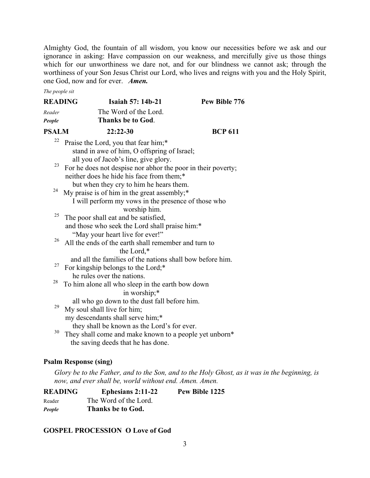Almighty God, the fountain of all wisdom, you know our necessities before we ask and our ignorance in asking: Have compassion on our weakness, and mercifully give us those things which for our unworthiness we dare not, and for our blindness we cannot ask; through the worthiness of your Son Jesus Christ our Lord, who lives and reigns with you and the Holy Spirit, one God, now and for ever. *Amen.*

*The people sit* 

| <b>READING</b> | <b>Isaiah 57: 14b-21</b>                                                          | Pew Bible 776  |
|----------------|-----------------------------------------------------------------------------------|----------------|
| Reader         | The Word of the Lord.                                                             |                |
| People         | <b>Thanks be to God.</b>                                                          |                |
| <b>PSALM</b>   | $22:22-30$                                                                        | <b>BCP 611</b> |
| 22             | Praise the Lord, you that fear him;*                                              |                |
|                | stand in awe of him, O offspring of Israel;                                       |                |
|                | all you of Jacob's line, give glory.                                              |                |
| 23             | For he does not despise nor abhor the poor in their poverty;                      |                |
|                | neither does he hide his face from them;*                                         |                |
|                | but when they cry to him he hears them.                                           |                |
| 24             | My praise is of him in the great assembly;*                                       |                |
|                | I will perform my vows in the presence of those who                               |                |
| 25             | worship him.                                                                      |                |
|                | The poor shall eat and be satisfied,                                              |                |
|                | and those who seek the Lord shall praise him:*<br>"May your heart live for ever!" |                |
| 26             | All the ends of the earth shall remember and turn to                              |                |
|                | the Lord,*                                                                        |                |
|                | and all the families of the nations shall bow before him.                         |                |
| 27             | For kingship belongs to the Lord;*                                                |                |
|                | he rules over the nations.                                                        |                |
| 28             | To him alone all who sleep in the earth bow down                                  |                |
|                | in worship;*                                                                      |                |
|                | all who go down to the dust fall before him.                                      |                |
| 29             | My soul shall live for him;                                                       |                |
|                | my descendants shall serve him;*                                                  |                |
| 30             | they shall be known as the Lord's for ever.                                       |                |
|                | They shall come and make known to a people yet unborn*                            |                |
|                | the saving deeds that he has done.                                                |                |
|                |                                                                                   |                |

# **Psalm Response (sing)**

*Glory be to the Father, and to the Son, and to the Holy Ghost, as it was in the beginning, is now, and ever shall be, world without end. Amen. Amen.* 

| <b>READING</b> | Ephesians $2:11-22$   | Pew Bible 1225 |
|----------------|-----------------------|----------------|
| Reader         | The Word of the Lord. |                |
| People         | Thanks be to God.     |                |

# **GOSPEL PROCESSION O Love of God**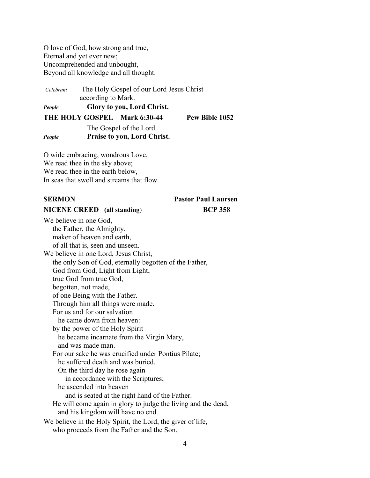O love of God, how strong and true, Eternal and yet ever new; Uncomprehended and unbought, Beyond all knowledge and all thought.

*Celebrant* The Holy Gospel of our Lord Jesus Christ according to Mark. *People* **Glory to you, Lord Christ.**

**THE HOLY GOSPEL Mark 6:30-44 Pew Bible 1052** 

The Gospel of the Lord. *People* **Praise to you, Lord Christ.** 

O wide embracing, wondrous Love, We read thee in the sky above; We read thee in the earth below, In seas that swell and streams that flow.

# **SERMON Pastor Paul Laursen**

#### **NICENE CREED (all standing**) **BCP 358**

We believe in one God, the Father, the Almighty, maker of heaven and earth, of all that is, seen and unseen. We believe in one Lord, Jesus Christ, the only Son of God, eternally begotten of the Father, God from God, Light from Light, true God from true God, begotten, not made, of one Being with the Father. Through him all things were made. For us and for our salvation he came down from heaven: by the power of the Holy Spirit he became incarnate from the Virgin Mary, and was made man. For our sake he was crucified under Pontius Pilate; he suffered death and was buried. On the third day he rose again in accordance with the Scriptures; he ascended into heaven and is seated at the right hand of the Father. He will come again in glory to judge the living and the dead, and his kingdom will have no end. We believe in the Holy Spirit, the Lord, the giver of life, who proceeds from the Father and the Son.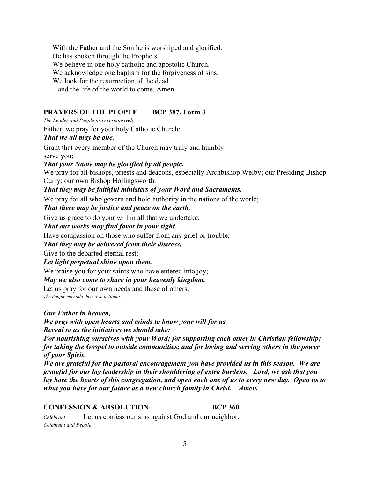With the Father and the Son he is worshiped and glorified. He has spoken through the Prophets. We believe in one holy catholic and apostolic Church. We acknowledge one baptism for the forgiveness of sins. We look for the resurrection of the dead. and the life of the world to come. Amen.

# **PRAYERS OF THE PEOPLE BCP 387, Form 3**

*The Leader and People pray responsively* 

Father, we pray for your holy Catholic Church;

### *That we all may be one.*

Grant that every member of the Church may truly and humbly serve you;

*That your Name may be glorified by all people***.** 

We pray for all bishops, priests and deacons, especially Archbishop Welby; our Presiding Bishop Curry; our own Bishop Hollingsworth.

*That they may be faithful ministers of your Word and Sacraments.* 

We pray for all who govern and hold authority in the nations of the world;

*That there may be justice and peace on the earth.* 

Give us grace to do your will in all that we undertake;

*That our works may find favor in your sight.* 

Have compassion on those who suffer from any grief or trouble;

*That they may be delivered from their distress.* 

Give to the departed eternal rest;

*Let light perpetual shine upon them.* 

We praise you for your saints who have entered into joy;

*May we also come to share in your heavenly kingdom.* 

Let us pray for our own needs and those of others.

*The People may add their own petitions.*

*Our Father in heaven,* 

*We pray with open hearts and minds to know your will for us. Reveal to us the initiatives we should take:* 

*For nourishing ourselves with your Word; for supporting each other in Christian fellowship; for taking the Gospel to outside communities; and for loving and serving others in the power of your Spirit.* 

*We are grateful for the pastoral encouragement you have provided us in this season. We are grateful for our lay leadership in their shouldering of extra burdens. Lord, we ask that you lay bare the hearts of this congregation, and open each one of us to every new day. Open us to what you have for our future as a new church family in Christ. Amen.* 

# **CONFESSION & ABSOLUTION BCP 360**

*Celebrant* Let us confess our sins against God and our neighbor. *Celebrant and People*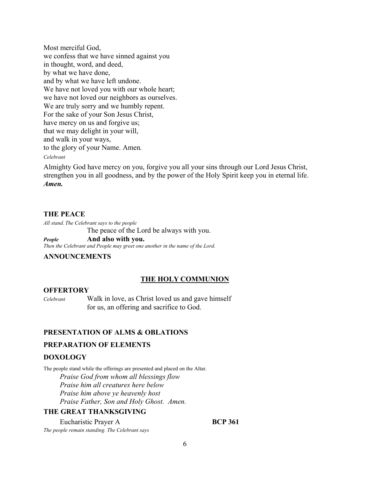Most merciful God, we confess that we have sinned against you in thought, word, and deed, by what we have done, and by what we have left undone. We have not loved you with our whole heart; we have not loved our neighbors as ourselves. We are truly sorry and we humbly repent. For the sake of your Son Jesus Christ, have mercy on us and forgive us; that we may delight in your will, and walk in your ways, to the glory of your Name. Amen*.*

#### *Celebrant*

Almighty God have mercy on you, forgive you all your sins through our Lord Jesus Christ, strengthen you in all goodness, and by the power of the Holy Spirit keep you in eternal life. *Amen.*

# **THE PEACE**

*All stand. The Celebrant says to the people* The peace of the Lord be always with you. *People* **And also with you.** *Then the Celebrant and People may greet one another in the name of the Lord.* 

#### **ANNOUNCEMENTS**

### **THE HOLY COMMUNION**

#### **OFFERTORY**

*Celebrant*Walk in love, as Christ loved us and gave himself for us, an offering and sacrifice to God.

# **PRESENTATION OF ALMS & OBLATIONS**

# **PREPARATION OF ELEMENTS**

#### **DOXOLOGY**

The people stand while the offerings are presented and placed on the Altar.  *Praise God from whom all blessings flow Praise him all creatures here below Praise him above ye heavenly host Praise Father, Son and Holy Ghost. Amen.* 

# **THE GREAT THANKSGIVING**

Eucharistic Prayer A **BCP 361** *The people remain standing. The Celebrant says*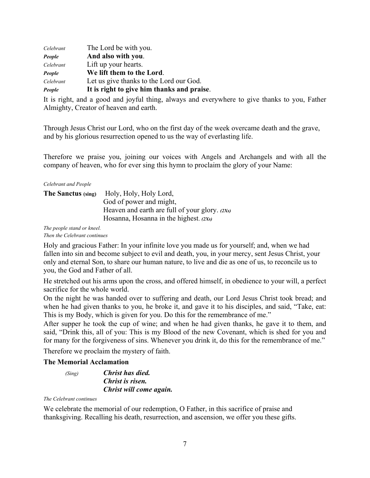| Celebrant | The Lord be with you.                      |
|-----------|--------------------------------------------|
| People    | And also with you.                         |
| Celebrant | Lift up your hearts.                       |
| People    | We lift them to the Lord.                  |
| Celebrant | Let us give thanks to the Lord our God.    |
| People    | It is right to give him thanks and praise. |

It is right, and a good and joyful thing, always and everywhere to give thanks to you, Father Almighty, Creator of heaven and earth.

Through Jesus Christ our Lord, who on the first day of the week overcame death and the grave, and by his glorious resurrection opened to us the way of everlasting life.

Therefore we praise you, joining our voices with Angels and Archangels and with all the company of heaven, who for ever sing this hymn to proclaim the glory of your Name:

#### *Celebrant and People*

| The Sanctus (sing) | Holy, Holy, Holy Lord,                           |
|--------------------|--------------------------------------------------|
|                    | God of power and might,                          |
|                    | Heaven and earth are full of your glory. $(2Xs)$ |
|                    | Hosanna, Hosanna in the highest. $(2Xs)$         |
|                    |                                                  |

*The people stand or kneel. Then the Celebrant continues* 

Holy and gracious Father: In your infinite love you made us for yourself; and, when we had fallen into sin and become subject to evil and death, you, in your mercy, sent Jesus Christ, your only and eternal Son, to share our human nature, to live and die as one of us, to reconcile us to you, the God and Father of all.

He stretched out his arms upon the cross, and offered himself, in obedience to your will, a perfect sacrifice for the whole world.

On the night he was handed over to suffering and death, our Lord Jesus Christ took bread; and when he had given thanks to you, he broke it, and gave it to his disciples, and said, "Take, eat: This is my Body, which is given for you. Do this for the remembrance of me."

After supper he took the cup of wine; and when he had given thanks, he gave it to them, and said, "Drink this, all of you: This is my Blood of the new Covenant, which is shed for you and for many for the forgiveness of sins. Whenever you drink it, do this for the remembrance of me."

Therefore we proclaim the mystery of faith.

# **The Memorial Acclamation**

```
 (Sing) Christ has died. 
  Christ is risen. 
  Christ will come again.
```
#### *The Celebrant continues*

We celebrate the memorial of our redemption, O Father, in this sacrifice of praise and thanksgiving. Recalling his death, resurrection, and ascension, we offer you these gifts.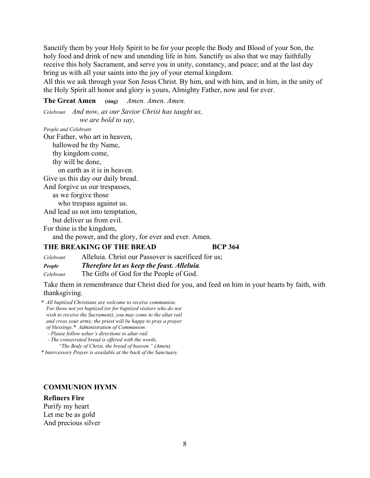Sanctify them by your Holy Spirit to be for your people the Body and Blood of your Son, the holy food and drink of new and unending life in him. Sanctify us also that we may faithfully receive this holy Sacrament, and serve you in unity, constancy, and peace; and at the last day bring us with all your saints into the joy of your eternal kingdom.

All this we ask through your Son Jesus Christ. By him, and with him, and in him, in the unity of the Holy Spirit all honor and glory is yours, Almighty Father, now and for ever.

**The Great Amen (sing)** *Amen. Amen. Amen.* 

*Celebrant And now, as our Savior Christ has taught us, we are bold to say,* 

*People and Celebrant*  Our Father, who art in heaven, hallowed be thy Name, thy kingdom come, thy will be done, on earth as it is in heaven. Give us this day our daily bread. And forgive us our trespasses, as we forgive those who trespass against us. And lead us not into temptation, but deliver us from evil. For thine is the kingdom,

and the power, and the glory, for ever and ever. Amen.

# **THE BREAKING OF THE BREAD BCP 364**

| Celebrant | Alleluia. Christ our Passover is sacrificed for us; |
|-----------|-----------------------------------------------------|
| People    | Therefore let us keep the feast. Alleluia.          |
| Celebrant | The Gifts of God for the People of God.             |

Take them in remembrance that Christ died for you, and feed on him in your hearts by faith, with thanksgiving.

- *\* All baptized Christians are welcome to receive communion. For those not yet baptized (or for baptized visitors who do not wish to receive the Sacrament), you may come to the altar rail and cross your arms; the priest will be happy to pray a prayer of blessings.\* Administration of Communion:* 
	- *Please follow usher's directions to altar rail.*
	- *The consecrated bread is offered with the words, "The Body of Christ, the bread of heaven." (Amen).*

*\* Intercessory Prayer is available at the back of the Sanctuary.* 

### **COMMUNION HYMN**

**Refiners Fire** Purify my heart Let me be as gold And precious silver